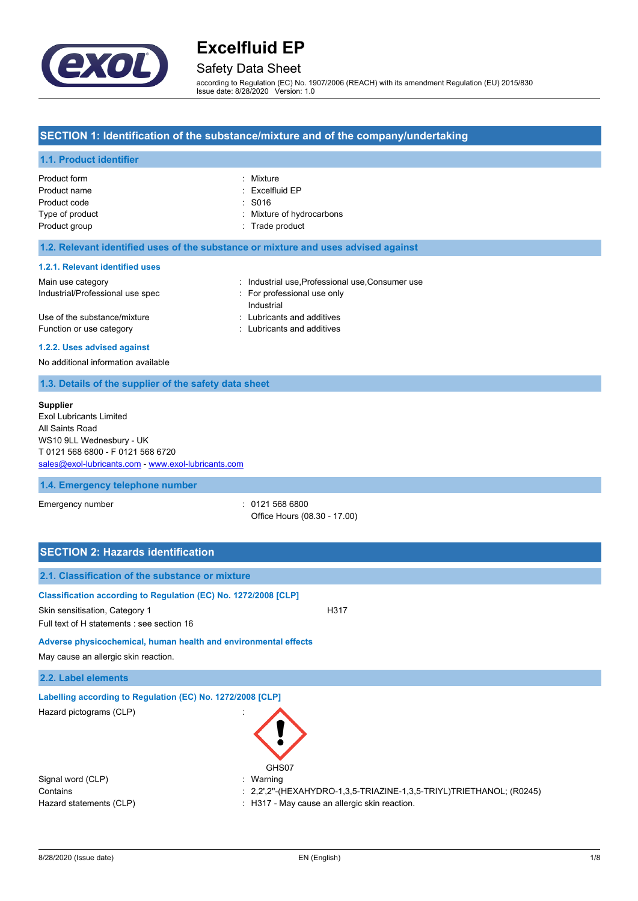

## Safety Data Sheet

according to Regulation (EC) No. 1907/2006 (REACH) with its amendment Regulation (EU) 2015/830 Issue date: 8/28/2020 Version: 1.0

### **SECTION 1: Identification of the substance/mixture and of the company/undertaking**

### **1.1. Product identifier**

| Product form    | : Mixture                 |
|-----------------|---------------------------|
| Product name    | $:$ Excelfluid EP         |
| Product code    | $\therefore$ S016         |
| Type of product | : Mixture of hydrocarbons |
| Product group   | : Trade product           |

### **1.2. Relevant identified uses of the substance or mixture and uses advised against**

#### **1.2.1. Relevant identified uses**

| Main use category                | : Industrial use, Professional use, Consumer use |
|----------------------------------|--------------------------------------------------|
| Industrial/Professional use spec | : For professional use only                      |
|                                  | Industrial                                       |
| Use of the substance/mixture     | : Lubricants and additives                       |
| Function or use category         | : Lubricants and additives                       |

#### **1.2.2. Uses advised against**

No additional information available

### **1.3. Details of the supplier of the safety data sheet**

#### **Supplier**

Exol Lubricants Limited All Saints Road WS10 9LL Wednesbury - UK T 0121 568 6800 - F 0121 568 6720 [sales@exol-lubricants.com](mailto:sales@exol-lubricants.com) - <www.exol-lubricants.com>

### **1.4. Emergency telephone number**

Emergency number : 0121 568 6800 Office Hours (08.30 - 17.00)

| <b>SECTION 2: Hazards identification</b>                                                                                                        |                                                                                              |
|-------------------------------------------------------------------------------------------------------------------------------------------------|----------------------------------------------------------------------------------------------|
| 2.1. Classification of the substance or mixture                                                                                                 |                                                                                              |
| Classification according to Regulation (EC) No. 1272/2008 [CLP]<br>Skin sensitisation, Category 1<br>Full text of H statements : see section 16 | H317                                                                                         |
| Adverse physicochemical, human health and environmental effects<br>May cause an allergic skin reaction.                                         |                                                                                              |
| 2.2. Label elements                                                                                                                             |                                                                                              |
| Labelling according to Regulation (EC) No. 1272/2008 [CLP]                                                                                      |                                                                                              |
| Hazard pictograms (CLP)                                                                                                                         | GHS07                                                                                        |
| Signal word (CLP)                                                                                                                               | Warning                                                                                      |
| Contains                                                                                                                                        | : $2,2^{\prime},2^{\prime\prime}$ -(HEXAHYDRO-1,3,5-TRIAZINE-1,3,5-TRIYL)TRIETHANOL; (R0245) |
| Hazard statements (CLP)                                                                                                                         | : H317 - May cause an allergic skin reaction.                                                |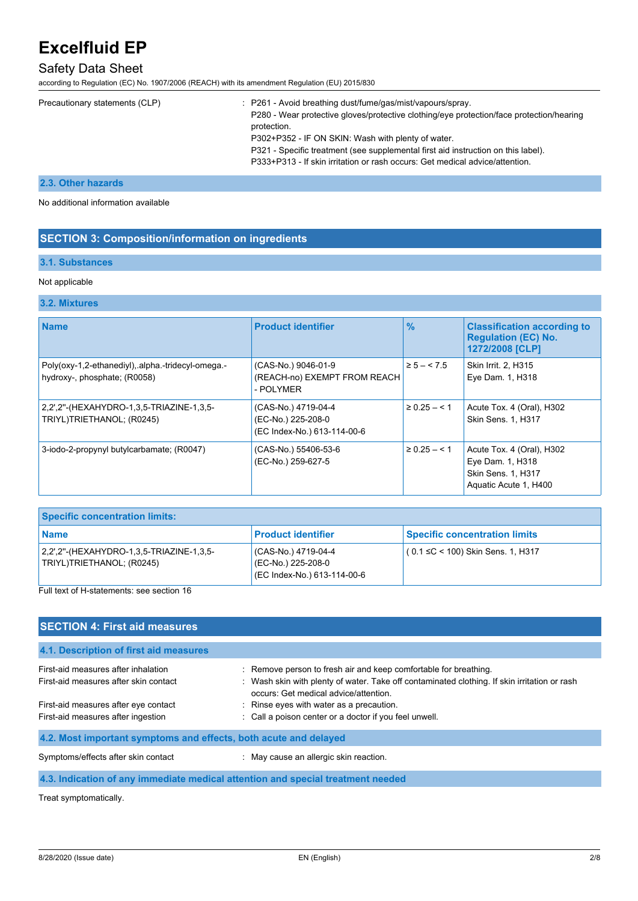# Safety Data Sheet

according to Regulation (EC) No. 1907/2006 (REACH) with its amendment Regulation (EU) 2015/830

|  | Precautionary statements (CLP) | : P261 - Avoid breathing dust/fume/gas/mist/vapours/spray.<br>P280 - Wear protective gloves/protective clothing/eye protection/face protection/hearing<br>protection.<br>P302+P352 - IF ON SKIN: Wash with plenty of water.<br>P321 - Specific treatment (see supplemental first aid instruction on this label).<br>P333+P313 - If skin irritation or rash occurs: Get medical advice/attention. |
|--|--------------------------------|--------------------------------------------------------------------------------------------------------------------------------------------------------------------------------------------------------------------------------------------------------------------------------------------------------------------------------------------------------------------------------------------------|
|--|--------------------------------|--------------------------------------------------------------------------------------------------------------------------------------------------------------------------------------------------------------------------------------------------------------------------------------------------------------------------------------------------------------------------------------------------|

#### **2.3. Other hazards**

No additional information available

### **SECTION 3: Composition/information on ingredients**

### **3.1. Substances**

#### Not applicable

#### **3.2. Mixtures**

| <b>Name</b>                                                                       | <b>Product identifier</b>                                                | $\frac{9}{6}$     | <b>Classification according to</b><br><b>Regulation (EC) No.</b><br>1272/2008 [CLP]          |
|-----------------------------------------------------------------------------------|--------------------------------------------------------------------------|-------------------|----------------------------------------------------------------------------------------------|
| Poly(oxy-1,2-ethanediyl), alpha.-tridecyl-omega.-<br>hydroxy-, phosphate; (R0058) | (CAS-No.) 9046-01-9<br>(REACH-no) EXEMPT FROM REACH<br>- POLYMER         | $\ge 5 - 5.5$     | <b>Skin Irrit. 2. H315</b><br>Eye Dam. 1, H318                                               |
| 2,2',2"-(HEXAHYDRO-1,3,5-TRIAZINE-1,3,5-<br>TRIYL)TRIETHANOL; (R0245)             | (CAS-No.) 4719-04-4<br>(EC-No.) 225-208-0<br>(EC Index-No.) 613-114-00-6 | $\geq 0.25 - 5.1$ | Acute Tox. 4 (Oral), H302<br>Skin Sens. 1, H317                                              |
| 3-iodo-2-propynyl butylcarbamate; (R0047)                                         | (CAS-No.) 55406-53-6<br>(EC-No.) 259-627-5                               | $\geq$ 0.25 – < 1 | Acute Tox. 4 (Oral), H302<br>Eye Dam. 1, H318<br>Skin Sens. 1, H317<br>Aquatic Acute 1, H400 |

| <b>Specific concentration limits:</b>                                 |                                                                          |                                      |
|-----------------------------------------------------------------------|--------------------------------------------------------------------------|--------------------------------------|
| <b>Name</b>                                                           | <b>Product identifier</b>                                                | <b>Specific concentration limits</b> |
| 2.2".2"-(HEXAHYDRO-1.3.5-TRIAZINE-1.3.5-<br>TRIYL)TRIETHANOL; (R0245) | (CAS-No.) 4719-04-4<br>(EC-No.) 225-208-0<br>(EC Index-No.) 613-114-00-6 | $(0.1 ≤ C < 100)$ Skin Sens. 1, H317 |

### Full text of H-statements: see section 16

## **SECTION 4: First aid measures**

| : Remove person to fresh air and keep comfortable for breathing.<br>First-aid measures after inhalation<br>: Wash skin with plenty of water. Take off contaminated clothing. If skin irritation or rash<br>First-aid measures after skin contact | 4.1. Description of first aid measures |                                       |
|--------------------------------------------------------------------------------------------------------------------------------------------------------------------------------------------------------------------------------------------------|----------------------------------------|---------------------------------------|
|                                                                                                                                                                                                                                                  |                                        | occurs: Get medical advice/attention. |
| : Rinse eyes with water as a precaution.<br>First-aid measures after eye contact                                                                                                                                                                 |                                        |                                       |
| : Call a poison center or a doctor if you feel unwell.<br>First-aid measures after ingestion                                                                                                                                                     |                                        |                                       |
| 4.2. Most important symptoms and effects, both acute and delayed                                                                                                                                                                                 |                                        |                                       |
| : May cause an allergic skin reaction.<br>Symptoms/effects after skin contact                                                                                                                                                                    |                                        |                                       |

## **4.3. Indication of any immediate medical attention and special treatment needed**

Treat symptomatically.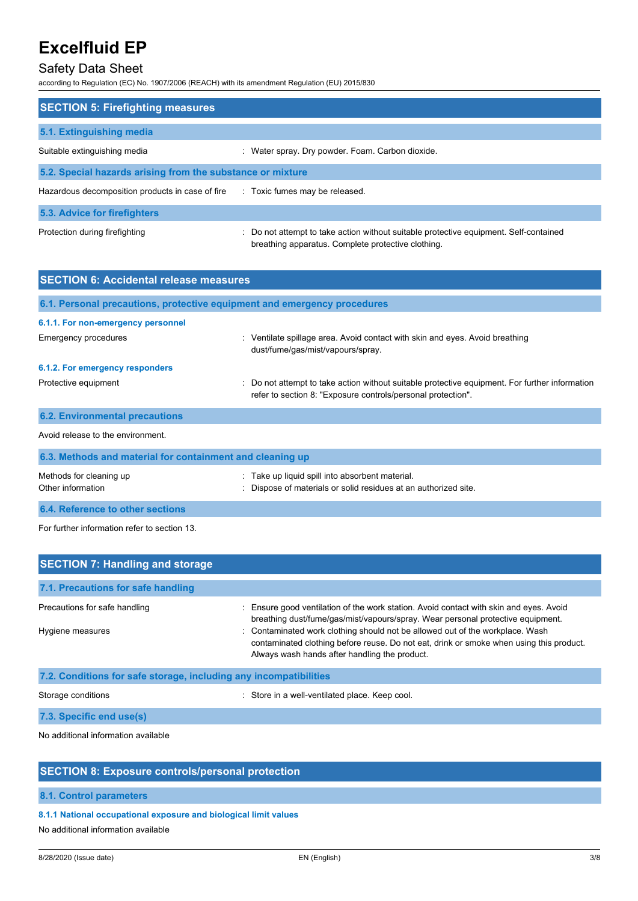# Safety Data Sheet

according to Regulation (EC) No. 1907/2006 (REACH) with its amendment Regulation (EU) 2015/830

| <b>SECTION 5: Firefighting measures</b>                    |                                                                                                                                             |
|------------------------------------------------------------|---------------------------------------------------------------------------------------------------------------------------------------------|
| 5.1. Extinguishing media                                   |                                                                                                                                             |
| Suitable extinguishing media                               | : Water spray. Dry powder. Foam. Carbon dioxide.                                                                                            |
| 5.2. Special hazards arising from the substance or mixture |                                                                                                                                             |
| Hazardous decomposition products in case of fire           | : Toxic fumes may be released.                                                                                                              |
| 5.3. Advice for firefighters                               |                                                                                                                                             |
| Protection during firefighting                             | : Do not attempt to take action without suitable protective equipment. Self-contained<br>breathing apparatus. Complete protective clothing. |

| <b>SECTION 6: Accidental release measures</b>                            |                                                                                                                                                                |  |  |
|--------------------------------------------------------------------------|----------------------------------------------------------------------------------------------------------------------------------------------------------------|--|--|
| 6.1. Personal precautions, protective equipment and emergency procedures |                                                                                                                                                                |  |  |
| 6.1.1. For non-emergency personnel                                       |                                                                                                                                                                |  |  |
| Emergency procedures                                                     | : Ventilate spillage area. Avoid contact with skin and eyes. Avoid breathing<br>dust/fume/gas/mist/vapours/spray.                                              |  |  |
| 6.1.2. For emergency responders                                          |                                                                                                                                                                |  |  |
| Protective equipment                                                     | : Do not attempt to take action without suitable protective equipment. For further information<br>refer to section 8: "Exposure controls/personal protection". |  |  |
| <b>6.2. Environmental precautions</b>                                    |                                                                                                                                                                |  |  |
| Avoid release to the environment.                                        |                                                                                                                                                                |  |  |
| 6.3. Methods and material for containment and cleaning up                |                                                                                                                                                                |  |  |
| Methods for cleaning up<br>Other information                             | : Take up liquid spill into absorbent material.<br>Dispose of materials or solid residues at an authorized site.                                               |  |  |

**6.4. Reference to other sections**

For further information refer to section 13.

| <b>SECTION 7: Handling and storage</b>                            |                                                                                                                                                                                                                           |
|-------------------------------------------------------------------|---------------------------------------------------------------------------------------------------------------------------------------------------------------------------------------------------------------------------|
| 7.1. Precautions for safe handling                                |                                                                                                                                                                                                                           |
| Precautions for safe handling                                     | : Ensure good ventilation of the work station. Avoid contact with skin and eyes. Avoid<br>breathing dust/fume/gas/mist/vapours/spray. Wear personal protective equipment.                                                 |
| Hygiene measures                                                  | : Contaminated work clothing should not be allowed out of the workplace. Wash<br>contaminated clothing before reuse. Do not eat, drink or smoke when using this product.<br>Always wash hands after handling the product. |
| 7.2. Conditions for safe storage, including any incompatibilities |                                                                                                                                                                                                                           |
| Storage conditions                                                | : Store in a well-ventilated place. Keep cool.                                                                                                                                                                            |

**7.3. Specific end use(s)**

No additional information available

# **SECTION 8: Exposure controls/personal protection**

**8.1. Control parameters**

**8.1.1 National occupational exposure and biological limit values**

No additional information available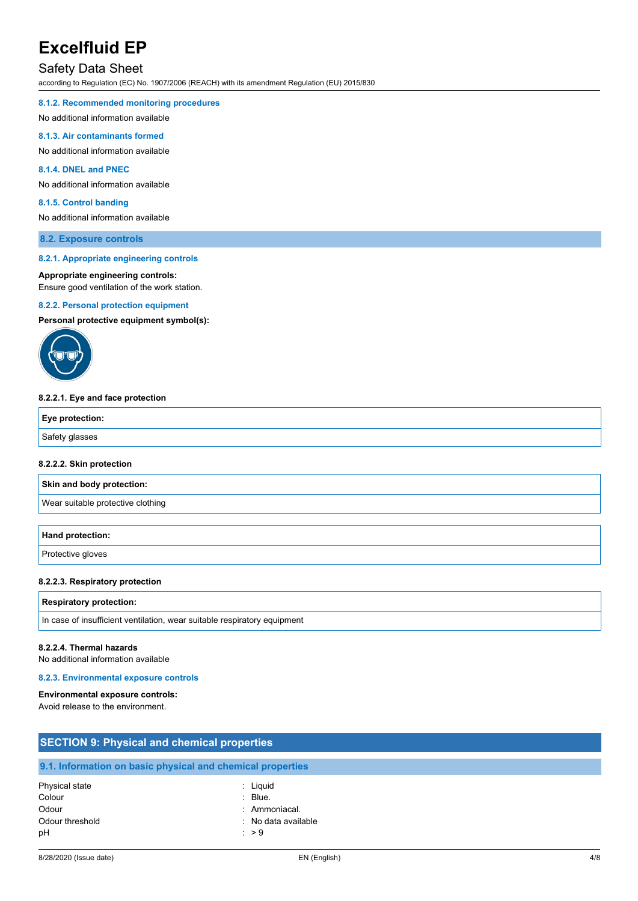## Safety Data Sheet

according to Regulation (EC) No. 1907/2006 (REACH) with its amendment Regulation (EU) 2015/830

#### **8.1.2. Recommended monitoring procedures**

No additional information available

#### **8.1.3. Air contaminants formed**

No additional information available

### **8.1.4. DNEL and PNEC**

No additional information available

#### **8.1.5. Control banding**

No additional information available

#### **8.2. Exposure controls**

#### **8.2.1. Appropriate engineering controls**

### **Appropriate engineering controls:**

Ensure good ventilation of the work station.

#### **8.2.2. Personal protection equipment**

**Personal protective equipment symbol(s):**



#### **8.2.2.1. Eye and face protection**

| Eye protection: |  |
|-----------------|--|
| Safety glasses  |  |

### **8.2.2.2. Skin protection**

**Skin and body protection:**

Wear suitable protective clothing

## **Hand protection:**

Protective gloves

#### **8.2.2.3. Respiratory protection**

#### **Respiratory protection:**

In case of insufficient ventilation, wear suitable respiratory equipment

#### **8.2.2.4. Thermal hazards**

No additional information available

#### **8.2.3. Environmental exposure controls**

#### **Environmental exposure controls:**

Avoid release to the environment.

| <b>SECTION 9: Physical and chemical properties</b> |                                                            |  |
|----------------------------------------------------|------------------------------------------------------------|--|
|                                                    | 9.1. Information on basic physical and chemical properties |  |
| Physical state                                     | : Liguid                                                   |  |
| Colour                                             | $\therefore$ Blue.                                         |  |
| Odour                                              | : Ammoniacal.                                              |  |
| Odour threshold                                    | : No data available                                        |  |
| рH                                                 | $\therefore$ > 9                                           |  |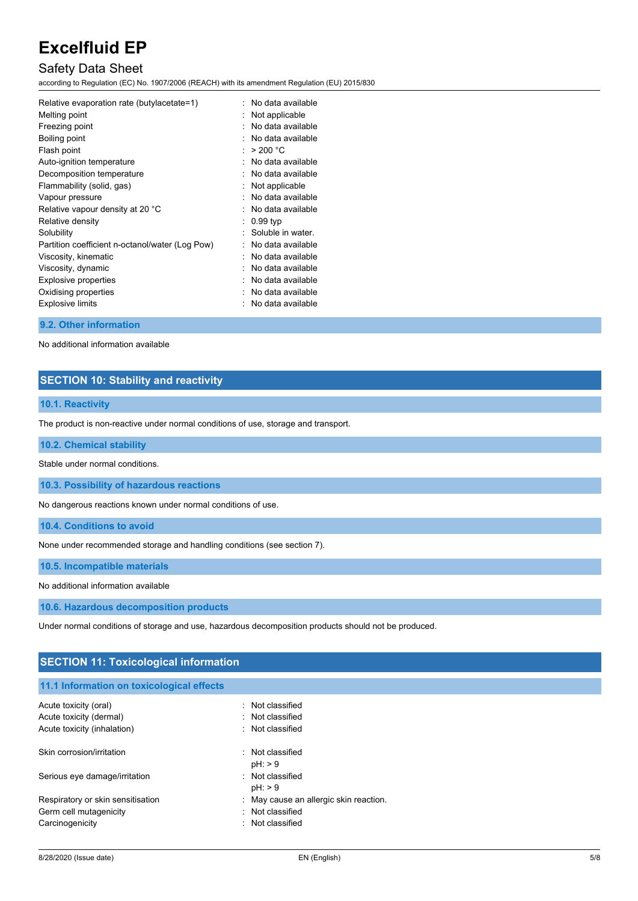# Safety Data Sheet

according to Regulation (EC) No. 1907/2006 (REACH) with its amendment Regulation (EU) 2015/830

| Relative evaporation rate (butylacetate=1)      | No data available |
|-------------------------------------------------|-------------------|
| Melting point                                   | Not applicable    |
| Freezing point                                  | No data available |
| Boiling point                                   | No data available |
| Flash point                                     | > 200 °C          |
| Auto-ignition temperature                       | No data available |
| Decomposition temperature                       | No data available |
| Flammability (solid, gas)                       | Not applicable    |
| Vapour pressure                                 | No data available |
| Relative vapour density at 20 °C                | No data available |
| Relative density                                | 0.99 typ          |
| Solubility                                      | Soluble in water. |
| Partition coefficient n-octanol/water (Log Pow) | No data available |
| Viscosity, kinematic                            | No data available |
| Viscosity, dynamic                              | No data available |
| Explosive properties                            | No data available |
| Oxidising properties                            | No data available |
| <b>Explosive limits</b>                         | No data available |
|                                                 |                   |

### **9.2. Other information**

No additional information available

## **SECTION 10: Stability and reactivity**

### **10.1. Reactivity**

The product is non-reactive under normal conditions of use, storage and transport.

#### **10.2. Chemical stability**

Stable under normal conditions.

**10.3. Possibility of hazardous reactions**

No dangerous reactions known under normal conditions of use.

**10.4. Conditions to avoid**

None under recommended storage and handling conditions (see section 7).

**10.5. Incompatible materials**

No additional information available

**10.6. Hazardous decomposition products**

Under normal conditions of storage and use, hazardous decomposition products should not be produced.

| <b>SECTION 11: Toxicological information</b> |                                        |  |
|----------------------------------------------|----------------------------------------|--|
| 11.1 Information on toxicological effects    |                                        |  |
| Acute toxicity (oral)                        | : Not classified                       |  |
| Acute toxicity (dermal)                      | : Not classified                       |  |
| Acute toxicity (inhalation)                  | : Not classified                       |  |
| Skin corrosion/irritation                    | Not classified<br>٠.<br>$pH:$ > 9      |  |
| Serious eye damage/irritation                | : Not classified<br>$pH:$ > 9          |  |
| Respiratory or skin sensitisation            | : May cause an allergic skin reaction. |  |
| Germ cell mutagenicity                       | : Not classified                       |  |
| Carcinogenicity                              | Not classified<br>$\bullet$            |  |
|                                              |                                        |  |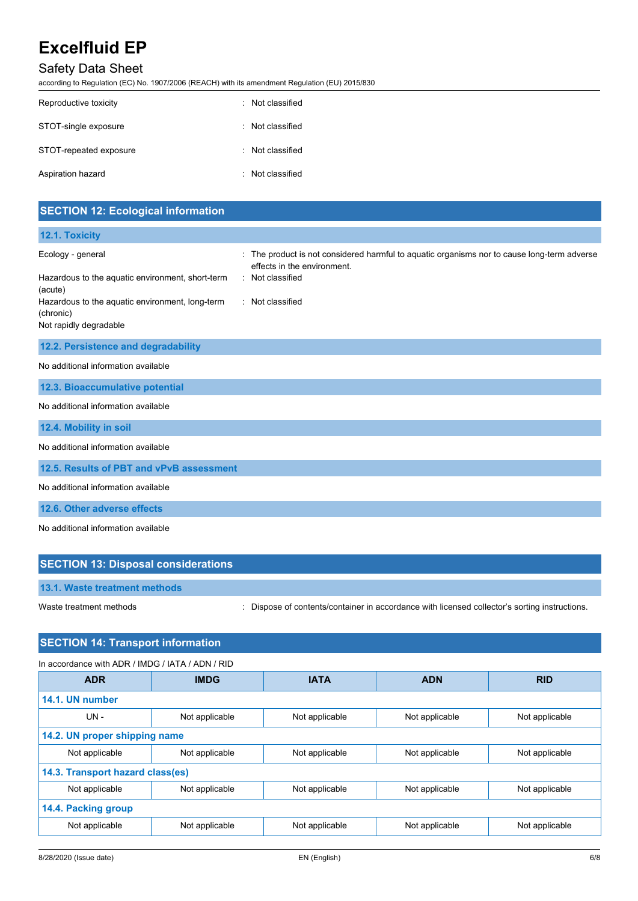# Safety Data Sheet

according to Regulation (EC) No. 1907/2006 (REACH) with its amendment Regulation (EU) 2015/830

| Reproductive toxicity  | Not classified   |
|------------------------|------------------|
| STOT-single exposure   | · Not classified |
| STOT-repeated exposure | Not classified   |
| Aspiration hazard      | · Not classified |

| <b>SECTION 12: Ecological information</b>                                              |                                                                                                                          |
|----------------------------------------------------------------------------------------|--------------------------------------------------------------------------------------------------------------------------|
| 12.1. Toxicity                                                                         |                                                                                                                          |
| Ecology - general                                                                      | The product is not considered harmful to aquatic organisms nor to cause long-term adverse<br>effects in the environment. |
| Hazardous to the aquatic environment, short-term<br>(acute)                            | Not classified                                                                                                           |
| Hazardous to the aquatic environment, long-term<br>(chronic)<br>Not rapidly degradable | : Not classified                                                                                                         |
| 12.2. Persistence and degradability                                                    |                                                                                                                          |
| No additional information available                                                    |                                                                                                                          |
| 12.3. Bioaccumulative potential                                                        |                                                                                                                          |
| No additional information available                                                    |                                                                                                                          |
| 12.4. Mobility in soil                                                                 |                                                                                                                          |
| No additional information available                                                    |                                                                                                                          |
| 12.5. Results of PBT and vPvB assessment                                               |                                                                                                                          |
| No additional information available                                                    |                                                                                                                          |
| 12.6. Other adverse effects                                                            |                                                                                                                          |
| No additional information available                                                    |                                                                                                                          |

| <b>SECTION 13: Disposal considerations</b> |                                                                                               |
|--------------------------------------------|-----------------------------------------------------------------------------------------------|
| 13.1. Waste treatment methods              |                                                                                               |
| Waste treatment methods                    | : Dispose of contents/container in accordance with licensed collector's sorting instructions. |

# **SECTION 14: Transport information**

In accordance with ADR / IMDG / IATA / ADN / RID

| <b>ADR</b>                       | <b>IMDG</b>    | <b>IATA</b>    | <b>ADN</b>     | <b>RID</b>     |
|----------------------------------|----------------|----------------|----------------|----------------|
| 14.1. UN number                  |                |                |                |                |
| $UN -$                           | Not applicable | Not applicable | Not applicable | Not applicable |
| 14.2. UN proper shipping name    |                |                |                |                |
| Not applicable                   | Not applicable | Not applicable | Not applicable | Not applicable |
| 14.3. Transport hazard class(es) |                |                |                |                |
| Not applicable                   | Not applicable | Not applicable | Not applicable | Not applicable |
| 14.4. Packing group              |                |                |                |                |
| Not applicable                   | Not applicable | Not applicable | Not applicable | Not applicable |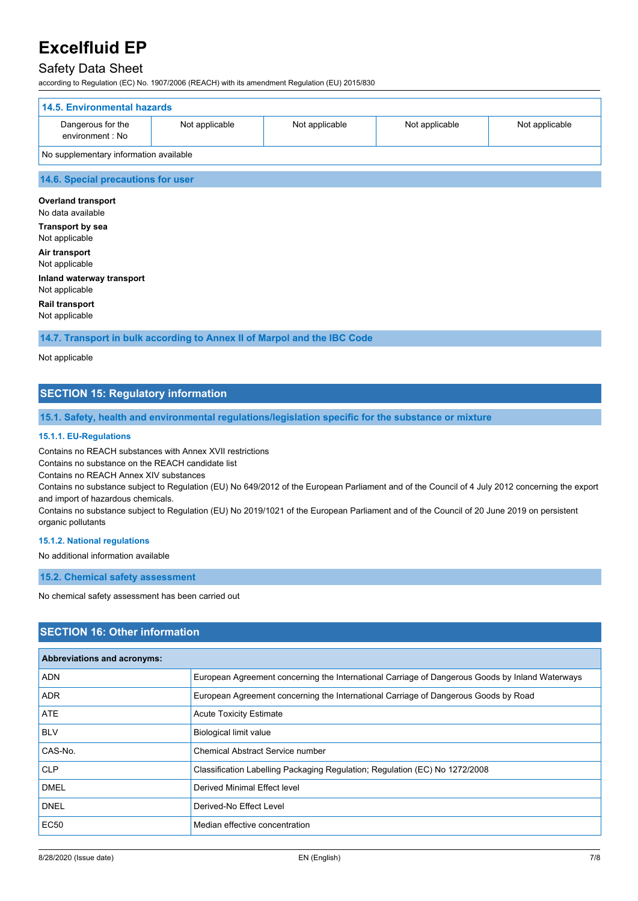## Safety Data Sheet

according to Regulation (EC) No. 1907/2006 (REACH) with its amendment Regulation (EU) 2015/830

| 14.5. Environmental hazards            |                |                |                |                |
|----------------------------------------|----------------|----------------|----------------|----------------|
| Dangerous for the<br>environment : No  | Not applicable | Not applicable | Not applicable | Not applicable |
| No supplementary information available |                |                |                |                |

#### **14.6. Special precautions for user**

**Overland transport** No data available **Transport by sea** Not applicable **Air transport** Not applicable **Inland waterway transport** Not applicable

**Rail transport** Not applicable

**14.7. Transport in bulk according to Annex II of Marpol and the IBC Code**

Not applicable

## **SECTION 15: Regulatory information**

**15.1. Safety, health and environmental regulations/legislation specific for the substance or mixture**

#### **15.1.1. EU-Regulations**

Contains no REACH substances with Annex XVII restrictions

Contains no substance on the REACH candidate list

Contains no REACH Annex XIV substances

Contains no substance subject to Regulation (EU) No 649/2012 of the European Parliament and of the Council of 4 July 2012 concerning the export and import of hazardous chemicals.

Contains no substance subject to Regulation (EU) No 2019/1021 of the European Parliament and of the Council of 20 June 2019 on persistent organic pollutants

#### **15.1.2. National regulations**

No additional information available

**15.2. Chemical safety assessment**

No chemical safety assessment has been carried out

### **SECTION 16: Other information**

| Abbreviations and acronyms: |                                                                                                 |
|-----------------------------|-------------------------------------------------------------------------------------------------|
| <b>ADN</b>                  | European Agreement concerning the International Carriage of Dangerous Goods by Inland Waterways |
| <b>ADR</b>                  | European Agreement concerning the International Carriage of Dangerous Goods by Road             |
| ATE                         | <b>Acute Toxicity Estimate</b>                                                                  |
| <b>BLV</b>                  | <b>Biological limit value</b>                                                                   |
| CAS-No.                     | <b>Chemical Abstract Service number</b>                                                         |
| <b>CLP</b>                  | Classification Labelling Packaging Regulation; Regulation (EC) No 1272/2008                     |
| <b>DMEL</b>                 | Derived Minimal Effect level                                                                    |
| <b>DNEL</b>                 | Derived-No Effect Level                                                                         |
| <b>EC50</b>                 | Median effective concentration                                                                  |